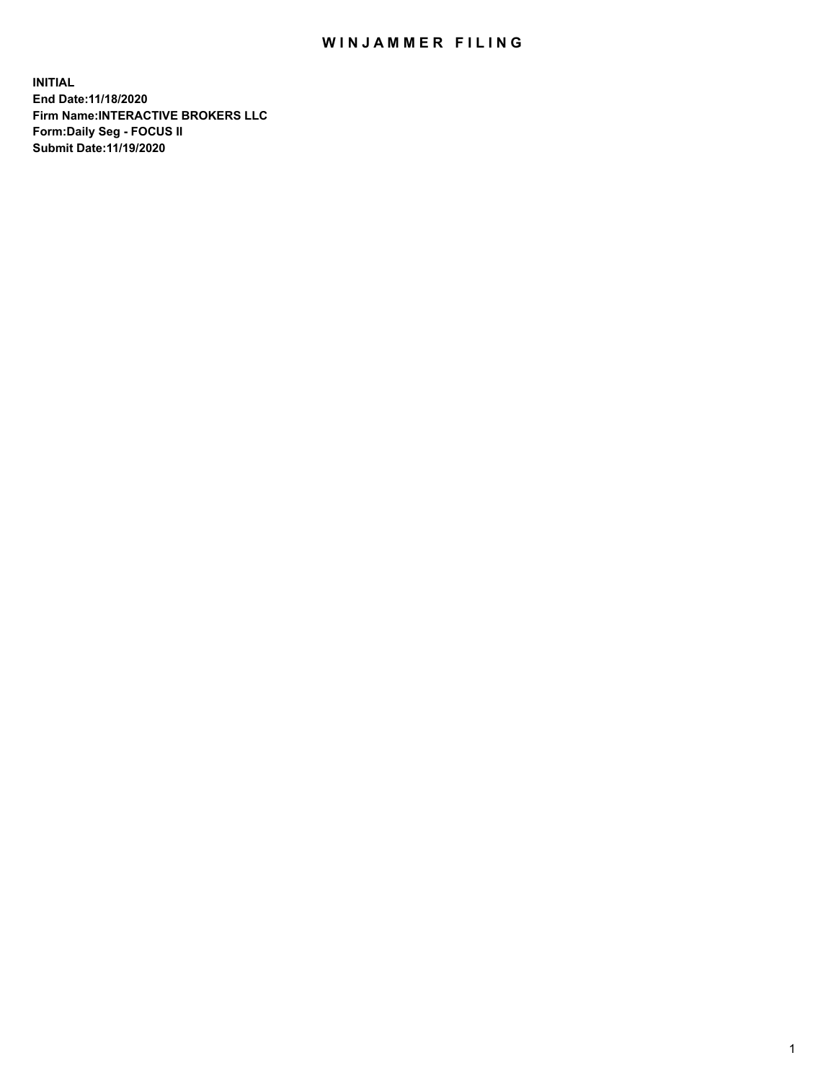## WIN JAMMER FILING

**INITIAL End Date:11/18/2020 Firm Name:INTERACTIVE BROKERS LLC Form:Daily Seg - FOCUS II Submit Date:11/19/2020**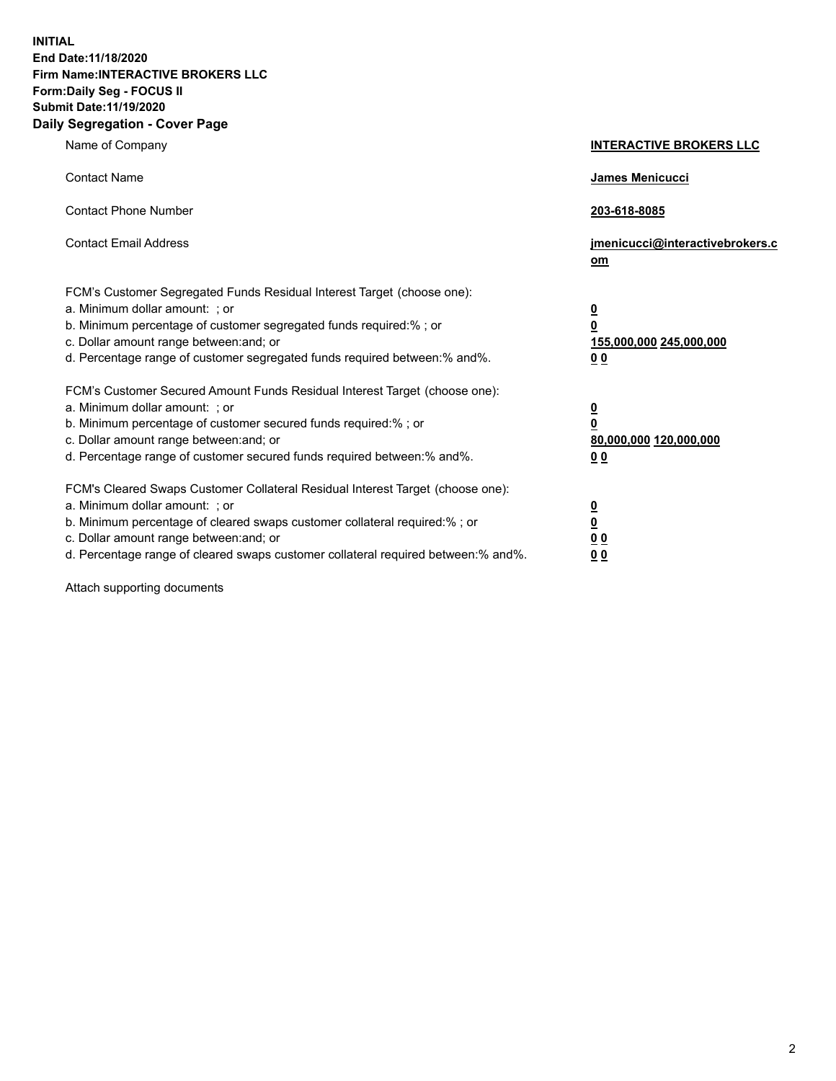**INITIAL End Date:11/18/2020 Firm Name:INTERACTIVE BROKERS LLC Form:Daily Seg - FOCUS II Submit Date:11/19/2020 Daily Segregation - Cover Page**

| Name of Company                                                                                                                                                                                                                                                                                                                | <b>INTERACTIVE BROKERS LLC</b>                                                                           |
|--------------------------------------------------------------------------------------------------------------------------------------------------------------------------------------------------------------------------------------------------------------------------------------------------------------------------------|----------------------------------------------------------------------------------------------------------|
| <b>Contact Name</b>                                                                                                                                                                                                                                                                                                            | James Menicucci                                                                                          |
| <b>Contact Phone Number</b>                                                                                                                                                                                                                                                                                                    | 203-618-8085                                                                                             |
| <b>Contact Email Address</b>                                                                                                                                                                                                                                                                                                   | jmenicucci@interactivebrokers.c<br>om                                                                    |
| FCM's Customer Segregated Funds Residual Interest Target (choose one):<br>a. Minimum dollar amount: ; or<br>b. Minimum percentage of customer segregated funds required:% ; or<br>c. Dollar amount range between: and; or<br>d. Percentage range of customer segregated funds required between:% and%.                         | $\overline{\mathbf{0}}$<br>$\overline{\mathbf{0}}$<br>155,000,000 245,000,000<br>0 <sub>0</sub>          |
| FCM's Customer Secured Amount Funds Residual Interest Target (choose one):<br>a. Minimum dollar amount: ; or<br>b. Minimum percentage of customer secured funds required:%; or<br>c. Dollar amount range between: and; or<br>d. Percentage range of customer secured funds required between:% and%.                            | $\overline{\mathbf{0}}$<br>$\overline{\mathbf{0}}$<br>80,000,000 120,000,000<br>00                       |
| FCM's Cleared Swaps Customer Collateral Residual Interest Target (choose one):<br>a. Minimum dollar amount: ; or<br>b. Minimum percentage of cleared swaps customer collateral required:% ; or<br>c. Dollar amount range between: and; or<br>d. Percentage range of cleared swaps customer collateral required between:% and%. | $\overline{\mathbf{0}}$<br>$\underline{\mathbf{0}}$<br>$\underline{0}$ $\underline{0}$<br>0 <sub>0</sub> |

Attach supporting documents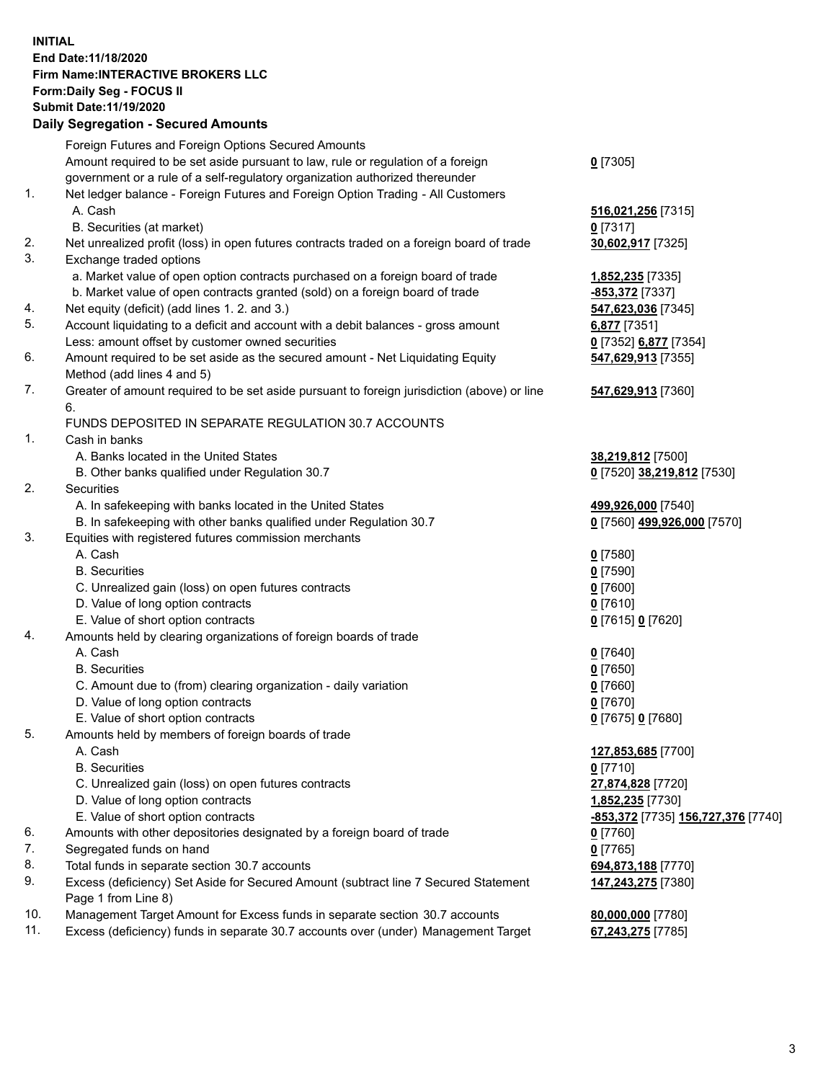## **INITIAL End Date:11/18/2020 Firm Name:INTERACTIVE BROKERS LLC Form:Daily Seg - FOCUS II Submit Date:11/19/2020 Daily Segregation - Secured Amounts**

|     | Daily Jegregation - Jeculed Aniounts                                                                                                 |                                                  |
|-----|--------------------------------------------------------------------------------------------------------------------------------------|--------------------------------------------------|
|     | Foreign Futures and Foreign Options Secured Amounts                                                                                  |                                                  |
|     | Amount required to be set aside pursuant to law, rule or regulation of a foreign                                                     | $0$ [7305]                                       |
|     | government or a rule of a self-regulatory organization authorized thereunder                                                         |                                                  |
| 1.  | Net ledger balance - Foreign Futures and Foreign Option Trading - All Customers                                                      |                                                  |
|     | A. Cash                                                                                                                              | 516,021,256 [7315]                               |
|     | B. Securities (at market)                                                                                                            | $0$ [7317]                                       |
| 2.  | Net unrealized profit (loss) in open futures contracts traded on a foreign board of trade                                            | 30,602,917 [7325]                                |
| 3.  | Exchange traded options                                                                                                              |                                                  |
|     | a. Market value of open option contracts purchased on a foreign board of trade                                                       | <u>1,852,235</u> [7335]                          |
|     | b. Market value of open contracts granted (sold) on a foreign board of trade                                                         | -853,372 [7337]                                  |
| 4.  | Net equity (deficit) (add lines 1.2. and 3.)                                                                                         | 547,623,036 [7345]                               |
| 5.  | Account liquidating to a deficit and account with a debit balances - gross amount                                                    | 6,877 [7351]                                     |
|     | Less: amount offset by customer owned securities                                                                                     | 0 [7352] 6,877 [7354]                            |
| 6.  | Amount required to be set aside as the secured amount - Net Liquidating Equity                                                       | 547,629,913 [7355]                               |
|     | Method (add lines 4 and 5)                                                                                                           |                                                  |
| 7.  | Greater of amount required to be set aside pursuant to foreign jurisdiction (above) or line                                          | 547,629,913 [7360]                               |
|     | 6.                                                                                                                                   |                                                  |
|     | FUNDS DEPOSITED IN SEPARATE REGULATION 30.7 ACCOUNTS                                                                                 |                                                  |
| 1.  | Cash in banks                                                                                                                        |                                                  |
|     | A. Banks located in the United States                                                                                                | 38,219,812 [7500]                                |
|     | B. Other banks qualified under Regulation 30.7                                                                                       | 0 [7520] 38,219,812 [7530]                       |
| 2.  | Securities                                                                                                                           |                                                  |
|     | A. In safekeeping with banks located in the United States                                                                            | 499,926,000 [7540]                               |
|     | B. In safekeeping with other banks qualified under Regulation 30.7                                                                   | 0 [7560] 499,926,000 [7570]                      |
| 3.  | Equities with registered futures commission merchants                                                                                |                                                  |
|     | A. Cash                                                                                                                              | $0$ [7580]                                       |
|     | <b>B.</b> Securities                                                                                                                 | $0$ [7590]                                       |
|     | C. Unrealized gain (loss) on open futures contracts                                                                                  | $0$ [7600]                                       |
|     | D. Value of long option contracts                                                                                                    | $0$ [7610]                                       |
|     | E. Value of short option contracts                                                                                                   | 0 [7615] 0 [7620]                                |
| 4.  | Amounts held by clearing organizations of foreign boards of trade                                                                    |                                                  |
|     | A. Cash                                                                                                                              | $0$ [7640]                                       |
|     | <b>B.</b> Securities                                                                                                                 | $0$ [7650]                                       |
|     | C. Amount due to (from) clearing organization - daily variation                                                                      | $0$ [7660]                                       |
|     | D. Value of long option contracts                                                                                                    | $0$ [7670]                                       |
|     | E. Value of short option contracts                                                                                                   | 0 [7675] 0 [7680]                                |
| 5.  | Amounts held by members of foreign boards of trade                                                                                   |                                                  |
|     | A. Cash                                                                                                                              | 127,853,685 [7700]                               |
|     | <b>B.</b> Securities                                                                                                                 | $0$ [7710]                                       |
|     | C. Unrealized gain (loss) on open futures contracts                                                                                  | 27,874,828 [7720]                                |
|     | D. Value of long option contracts                                                                                                    | 1,852,235 [7730]                                 |
| 6.  | E. Value of short option contracts                                                                                                   | <u>-853,372</u> [7735] <u>156,727,376</u> [7740] |
| 7.  | Amounts with other depositories designated by a foreign board of trade                                                               | 0 [7760]                                         |
| 8.  | Segregated funds on hand                                                                                                             | $0$ [7765]                                       |
| 9.  | Total funds in separate section 30.7 accounts<br>Excess (deficiency) Set Aside for Secured Amount (subtract line 7 Secured Statement | 694,873,188 [7770]<br>147,243,275 [7380]         |
|     | Page 1 from Line 8)                                                                                                                  |                                                  |
| 10. | Management Target Amount for Excess funds in separate section 30.7 accounts                                                          | 80,000,000 [7780]                                |
| 11. | Excess (deficiency) funds in separate 30.7 accounts over (under) Management Target                                                   | 67,243,275 [7785]                                |
|     |                                                                                                                                      |                                                  |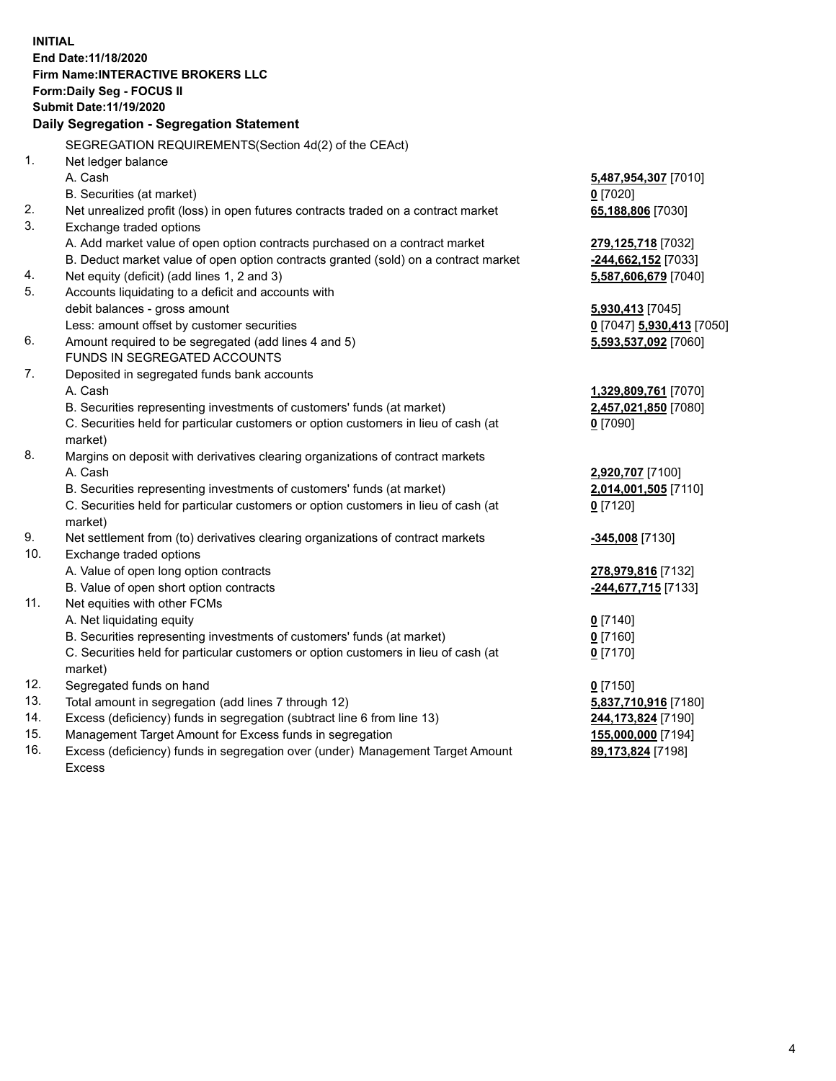**INITIAL End Date:11/18/2020 Firm Name:INTERACTIVE BROKERS LLC Form:Daily Seg - FOCUS II Submit Date:11/19/2020 Daily Segregation - Segregation Statement** SEGREGATION REQUIREMENTS(Section 4d(2) of the CEAct) 1. Net ledger balance A. Cash **5,487,954,307** [7010] B. Securities (at market) **0** [7020] 2. Net unrealized profit (loss) in open futures contracts traded on a contract market **65,188,806** [7030] 3. Exchange traded options A. Add market value of open option contracts purchased on a contract market **279,125,718** [7032] B. Deduct market value of open option contracts granted (sold) on a contract market **-244,662,152** [7033] 4. Net equity (deficit) (add lines 1, 2 and 3) **5,587,606,679** [7040] 5. Accounts liquidating to a deficit and accounts with debit balances - gross amount **5,930,413** [7045] Less: amount offset by customer securities **0** [7047] **5,930,413** [7050] 6. Amount required to be segregated (add lines 4 and 5) **5,593,537,092** [7060] FUNDS IN SEGREGATED ACCOUNTS 7. Deposited in segregated funds bank accounts A. Cash **1,329,809,761** [7070] B. Securities representing investments of customers' funds (at market) **2,457,021,850** [7080] C. Securities held for particular customers or option customers in lieu of cash (at market) **0** [7090] 8. Margins on deposit with derivatives clearing organizations of contract markets A. Cash **2,920,707** [7100] B. Securities representing investments of customers' funds (at market) **2,014,001,505** [7110] C. Securities held for particular customers or option customers in lieu of cash (at market) **0** [7120] 9. Net settlement from (to) derivatives clearing organizations of contract markets **-345,008** [7130] 10. Exchange traded options A. Value of open long option contracts **278,979,816** [7132] B. Value of open short option contracts **-244,677,715** [7133] 11. Net equities with other FCMs A. Net liquidating equity **0** [7140] B. Securities representing investments of customers' funds (at market) **0** [7160] C. Securities held for particular customers or option customers in lieu of cash (at market) **0** [7170] 12. Segregated funds on hand **0** [7150] 13. Total amount in segregation (add lines 7 through 12) **5,837,710,916** [7180] 14. Excess (deficiency) funds in segregation (subtract line 6 from line 13) **244,173,824** [7190] 15. Management Target Amount for Excess funds in segregation **155,000,000** [7194]

16. Excess (deficiency) funds in segregation over (under) Management Target Amount Excess

**89,173,824** [7198]